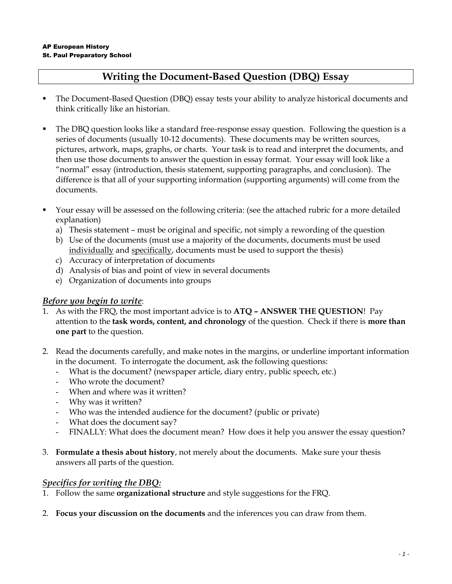# **Writing the Document-Based Question (DBQ) Essay**

- The Document-Based Question (DBQ) essay tests your ability to analyze historical documents and think critically like an historian.
- The DBQ question looks like a standard free-response essay question. Following the question is a series of documents (usually 10-12 documents). These documents may be written sources, pictures, artwork, maps, graphs, or charts. Your task is to read and interpret the documents, and then use those documents to answer the question in essay format. Your essay will look like a "normal" essay (introduction, thesis statement, supporting paragraphs, and conclusion). The difference is that all of your supporting information (supporting arguments) will come from the documents.
- Your essay will be assessed on the following criteria: (see the attached rubric for a more detailed explanation)
	- a) Thesis statement must be original and specific, not simply a rewording of the question
	- b) Use of the documents (must use a majority of the documents, documents must be used individually and specifically, documents must be used to support the thesis)
	- c) Accuracy of interpretation of documents
	- d) Analysis of bias and point of view in several documents
	- e) Organization of documents into groups

### *Before you begin to write*:

- 1. As with the FRQ, the most important advice is to **ATQ – ANSWER THE QUESTION**! Pay attention to the **task words, content, and chronology** of the question. Check if there is **more than one part** to the question.
- 2. Read the documents carefully, and make notes in the margins, or underline important information in the document. To interrogate the document, ask the following questions:
	- What is the document? (newspaper article, diary entry, public speech, etc.)
	- Who wrote the document?
	- When and where was it written?
	- Why was it written?
	- Who was the intended audience for the document? (public or private)
	- What does the document say?
	- FINALLY: What does the document mean? How does it help you answer the essay question?
- 3. **Formulate a thesis about history**, not merely about the documents. Make sure your thesis answers all parts of the question.

### *Specifics for writing the DBQ:*

- 1. Follow the same **organizational structure** and style suggestions for the FRQ.
- 2. **Focus your discussion on the documents** and the inferences you can draw from them.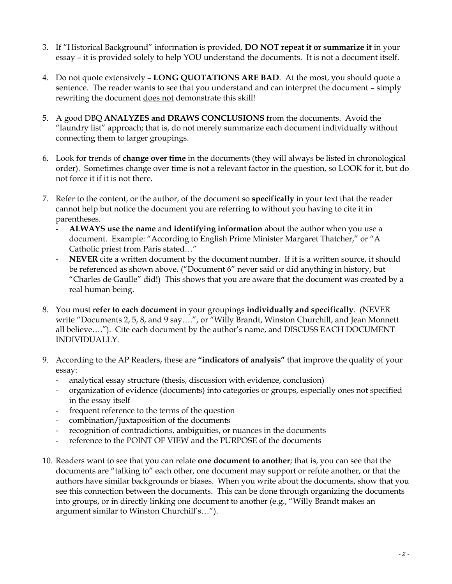- 3. If "Historical Background" information is provided, **DO NOT repeat it or summarize it** in your essay – it is provided solely to help YOU understand the documents. It is not a document itself.
- 4. Do not quote extensively **LONG QUOTATIONS ARE BAD**. At the most, you should quote a sentence. The reader wants to see that you understand and can interpret the document – simply rewriting the document does not demonstrate this skill!
- 5. A good DBQ **ANALYZES and DRAWS CONCLUSIONS** from the documents. Avoid the "laundry list" approach; that is, do not merely summarize each document individually without connecting them to larger groupings.
- 6. Look for trends of **change over time** in the documents (they will always be listed in chronological order). Sometimes change over time is not a relevant factor in the question, so LOOK for it, but do not force it if it is not there.
- 7. Refer to the content, or the author, of the document so **specifically** in your text that the reader cannot help but notice the document you are referring to without you having to cite it in parentheses.
	- **ALWAYS use the name** and **identifying information** about the author when you use a document. Example: "According to English Prime Minister Margaret Thatcher," or "A Catholic priest from Paris stated…"
	- NEVER cite a written document by the document number. If it is a written source, it should be referenced as shown above. ("Document 6" never said or did anything in history, but "Charles de Gaulle" did!) This shows that you are aware that the document was created by a real human being.
- 8. You must **refer to each document** in your groupings **individually and specifically**. (NEVER write "Documents 2, 5, 8, and 9 say….", or "Willy Brandt, Winston Churchill, and Jean Monnett all believe…."). Cite each document by the author's name, and DISCUSS EACH DOCUMENT INDIVIDUALLY.
- 9. According to the AP Readers, these are **"indicators of analysis"** that improve the quality of your essay:
	- analytical essay structure (thesis, discussion with evidence, conclusion)
	- organization of evidence (documents) into categories or groups, especially ones not specified in the essay itself
	- frequent reference to the terms of the question
	- combination/juxtaposition of the documents
	- recognition of contradictions, ambiguities, or nuances in the documents
	- reference to the POINT OF VIEW and the PURPOSE of the documents
- 10. Readers want to see that you can relate **one document to another**; that is, you can see that the documents are "talking to" each other, one document may support or refute another, or that the authors have similar backgrounds or biases. When you write about the documents, show that you see this connection between the documents. This can be done through organizing the documents into groups, or in directly linking one document to another (e.g., "Willy Brandt makes an argument similar to Winston Churchill's…").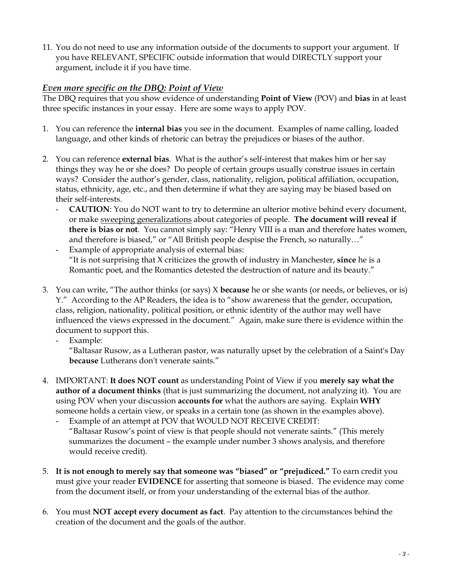11. You do not need to use any information outside of the documents to support your argument. If you have RELEVANT, SPECIFIC outside information that would DIRECTLY support your argument, include it if you have time.

### *Even more specific on the DBQ: Point of View*

The DBQ requires that you show evidence of understanding **Point of View** (POV) and **bias** in at least three specific instances in your essay. Here are some ways to apply POV.

- 1. You can reference the **internal bias** you see in the document. Examples of name calling, loaded language, and other kinds of rhetoric can betray the prejudices or biases of the author.
- 2. You can reference **external bias**. What is the author's self-interest that makes him or her say things they way he or she does? Do people of certain groups usually construe issues in certain ways? Consider the author's gender, class, nationality, religion, political affiliation, occupation, status, ethnicity, age, etc., and then determine if what they are saying may be biased based on their self-interests.
	- **CAUTION**: You do NOT want to try to determine an ulterior motive behind every document, or make sweeping generalizations about categories of people. **The document will reveal if there is bias or not**. You cannot simply say: "Henry VIII is a man and therefore hates women, and therefore is biased," or "All British people despise the French, so naturally…"
	- Example of appropriate analysis of external bias: "It is not surprising that X criticizes the growth of industry in Manchester, **since** he is a Romantic poet, and the Romantics detested the destruction of nature and its beauty."
- 3. You can write, "The author thinks (or says) X **because** he or she wants (or needs, or believes, or is) Y." According to the AP Readers, the idea is to "show awareness that the gender, occupation, class, religion, nationality, political position, or ethnic identity of the author may well have influenced the views expressed in the document." Again, make sure there is evidence within the document to support this.
	- Example:

"Baltasar Rusow, as a Lutheran pastor, was naturally upset by the celebration of a Saint's Day **because** Lutherans don't venerate saints."

- 4. IMPORTANT: **It does NOT count** as understanding Point of View if you **merely say what the author of a document thinks** (that is just summarizing the document, not analyzing it). You are using POV when your discussion **accounts for** what the authors are saying. Explain **WHY** someone holds a certain view, or speaks in a certain tone (as shown in the examples above).
	- Example of an attempt at POV that WOULD NOT RECEIVE CREDIT: "Baltasar Rusow's point of view is that people should not venerate saints." (This merely summarizes the document – the example under number 3 shows analysis, and therefore would receive credit).
- 5. **It is not enough to merely say that someone was "biased" or "prejudiced."** To earn credit you must give your reader **EVIDENCE** for asserting that someone is biased. The evidence may come from the document itself, or from your understanding of the external bias of the author.
- 6. You must **NOT accept every document as fact**. Pay attention to the circumstances behind the creation of the document and the goals of the author.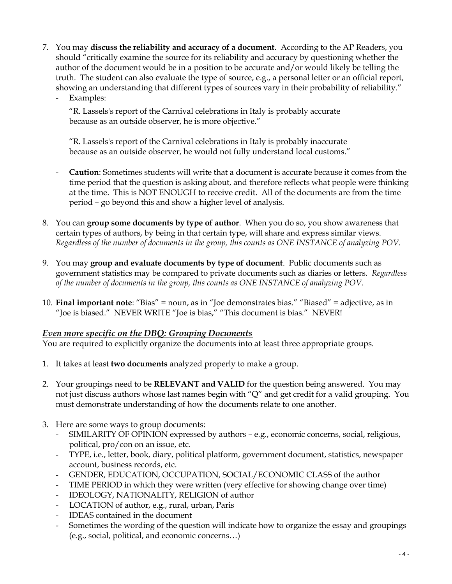- 7. You may **discuss the reliability and accuracy of a document**. According to the AP Readers, you should "critically examine the source for its reliability and accuracy by questioning whether the author of the document would be in a position to be accurate and/or would likely be telling the truth. The student can also evaluate the type of source, e.g., a personal letter or an official report, showing an understanding that different types of sources vary in their probability of reliability."
	- Examples:

"R. Lassels's report of the Carnival celebrations in Italy is probably accurate because as an outside observer, he is more objective."

"R. Lassels's report of the Carnival celebrations in Italy is probably inaccurate because as an outside observer, he would not fully understand local customs."

- **Caution**: Sometimes students will write that a document is accurate because it comes from the time period that the question is asking about, and therefore reflects what people were thinking at the time. This is NOT ENOUGH to receive credit. All of the documents are from the time period – go beyond this and show a higher level of analysis.
- 8. You can **group some documents by type of author**. When you do so, you show awareness that certain types of authors, by being in that certain type, will share and express similar views. *Regardless of the number of documents in the group, this counts as ONE INSTANCE of analyzing POV.*
- 9. You may **group and evaluate documents by type of document**. Public documents such as government statistics may be compared to private documents such as diaries or letters. *Regardless of the number of documents in the group, this counts as ONE INSTANCE of analyzing POV.*
- 10. **Final important note**: "Bias" = noun, as in "Joe demonstrates bias." "Biased" = adjective, as in "Joe is biased." NEVER WRITE "Joe is bias," "This document is bias." NEVER!

### *Even more specific on the DBQ: Grouping Documents*

You are required to explicitly organize the documents into at least three appropriate groups.

- 1. It takes at least **two documents** analyzed properly to make a group.
- 2. Your groupings need to be **RELEVANT and VALID** for the question being answered. You may not just discuss authors whose last names begin with "Q" and get credit for a valid grouping. You must demonstrate understanding of how the documents relate to one another.
- 3. Here are some ways to group documents:
	- SIMILARITY OF OPINION expressed by authors e.g., economic concerns, social, religious, political, pro/con on an issue, etc.
	- TYPE, i.e., letter, book, diary, political platform, government document, statistics, newspaper account, business records, etc.
	- GENDER, EDUCATION, OCCUPATION, SOCIAL/ECONOMIC CLASS of the author
	- TIME PERIOD in which they were written (very effective for showing change over time)
	- IDEOLOGY, NATIONALITY, RELIGION of author
	- LOCATION of author, e.g., rural, urban, Paris
	- IDEAS contained in the document
	- Sometimes the wording of the question will indicate how to organize the essay and groupings (e.g., social, political, and economic concerns…)